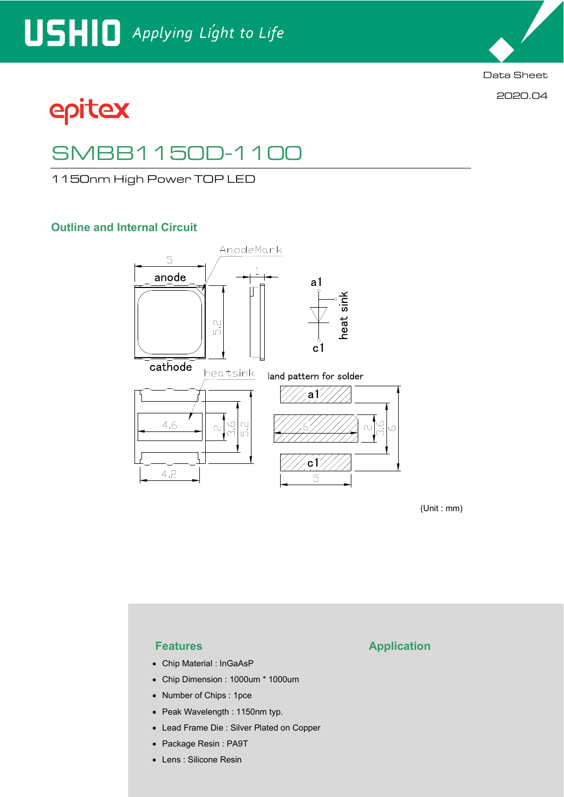

2020.04

epitex

# SMBB1150D-1100

1150nm High Power TOP LED

## **Outline and Internal Circuit**



(Unit : mm)

- Chip Material : InGaAsP
- Chip Dimension : 1000um \* 1000um
- Number of Chips : 1pce
- Peak Wavelength : 1150nm typ.
- Lead Frame Die : Silver Plated on Copper
- Package Resin : PA9T
- Lens : Silicone Resin

### **Features Application**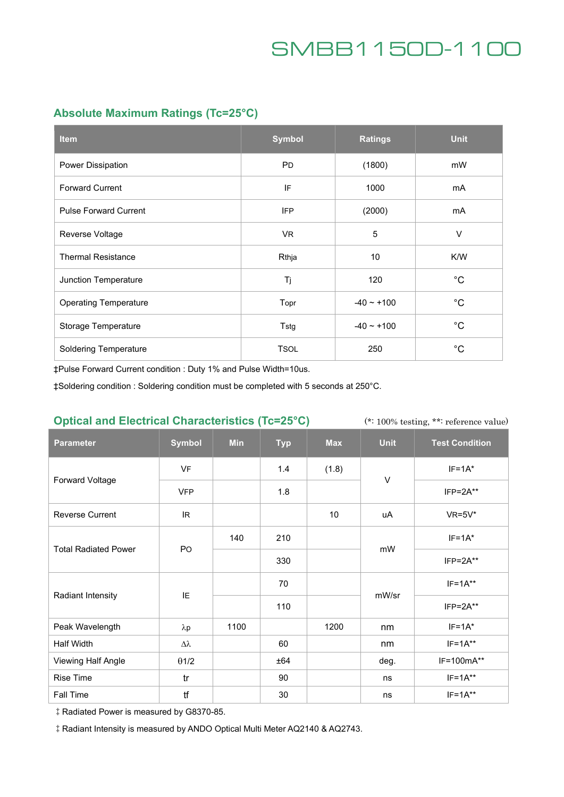## **Absolute Maximum Ratings (Tc=25°C)**

| <b>Item</b>                  | <b>Symbol</b> | <b>Ratings</b>  | <b>Unit</b>  |
|------------------------------|---------------|-----------------|--------------|
| Power Dissipation            | <b>PD</b>     | (1800)          | mW           |
| <b>Forward Current</b>       | IF            | 1000            | mA           |
| <b>Pulse Forward Current</b> | <b>IFP</b>    | (2000)          | mA           |
| Reverse Voltage              | <b>VR</b>     | 5               | $\vee$       |
| <b>Thermal Resistance</b>    | Rthja         | 10 <sup>°</sup> | K/W          |
| Junction Temperature         | Tj            | 120             | $^{\circ}$ C |
| <b>Operating Temperature</b> | Topr          | $-40 \sim +100$ | $^{\circ}C$  |
| Storage Temperature          | Tstg          | $-40 \sim +100$ | $^{\circ}$ C |
| <b>Soldering Temperature</b> | <b>TSOL</b>   | 250             | $^{\circ}$ C |

‡Pulse Forward Current condition : Duty 1% and Pulse Width=10us.

‡Soldering condition : Soldering condition must be completed with 5 seconds at 250°C.

### **Optical and Electrical Characteristics (Tc=25°C)**

(\*: 100% testing, \*\*: reference value)

| <b>Parameter</b>            | <b>Symbol</b>    | <b>Min</b> | <b>Typ</b> | <b>Max</b> | <b>Unit</b> | <b>Test Condition</b> |
|-----------------------------|------------------|------------|------------|------------|-------------|-----------------------|
| Forward Voltage             | <b>VF</b>        |            | 1.4        | (1.8)      | $\vee$      | $IF=1A*$              |
|                             | <b>VFP</b>       |            | 1.8        |            |             | $IFP = 2A**$          |
| <b>Reverse Current</b>      | IR.              |            |            | 10         | uA          | $VR=5V^*$             |
| <b>Total Radiated Power</b> | PO               | 140        | 210        |            | mW          | $IF=1A*$              |
|                             |                  |            | 330        |            |             | $IFP = 2A**$          |
| <b>Radiant Intensity</b>    | IE               |            | 70         |            | mW/sr       | $IF=1A**$             |
|                             |                  |            | 110        |            |             | $IFP = 2A**$          |
| Peak Wavelength             | $\lambda p$      | 1100       |            | 1200       | nm          | $IF=1A*$              |
| Half Width                  | $\Delta \lambda$ |            | 60         |            | nm          | $IF=1A**$             |
| Viewing Half Angle          | $\theta$ 1/2     |            | ±64        |            | deg.        | IF=100mA**            |
| <b>Rise Time</b>            | tr               |            | 90         |            | ns          | $IF=1A***$            |
| Fall Time                   | tf               |            | 30         |            | ns          | $IF=1A***$            |

‡Radiated Power is measured by G8370-85.

‡Radiant Intensity is measured by ANDO Optical Multi Meter AQ2140 & AQ2743.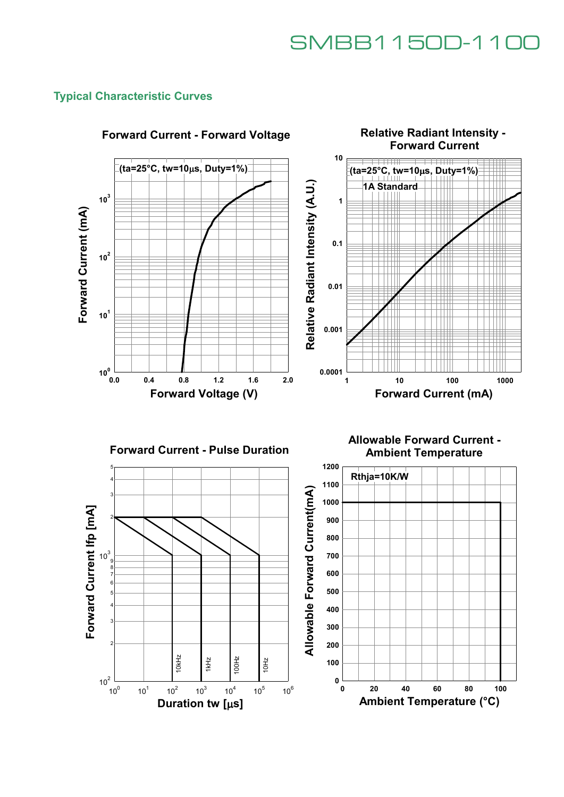### **Typical Characteristic Curves**



## **Forward Current - Forward Voltage**





**Allowable Forward Current - Ambient Temperature**

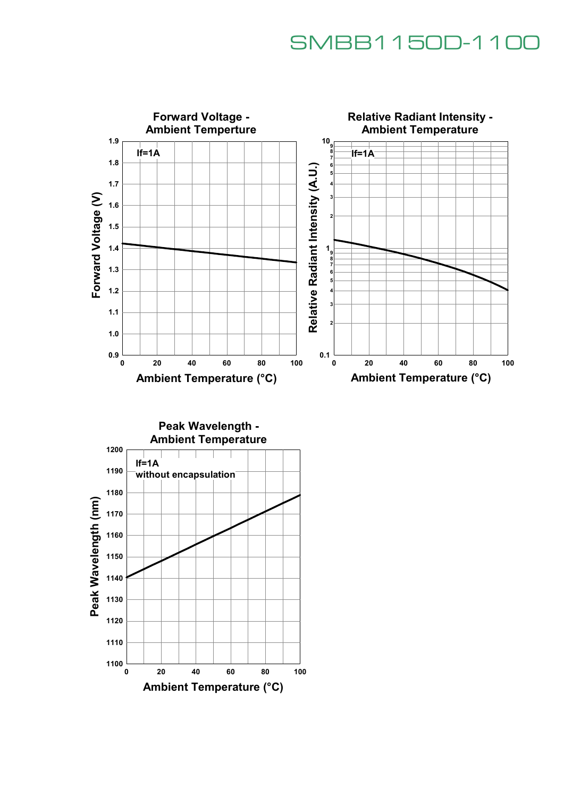

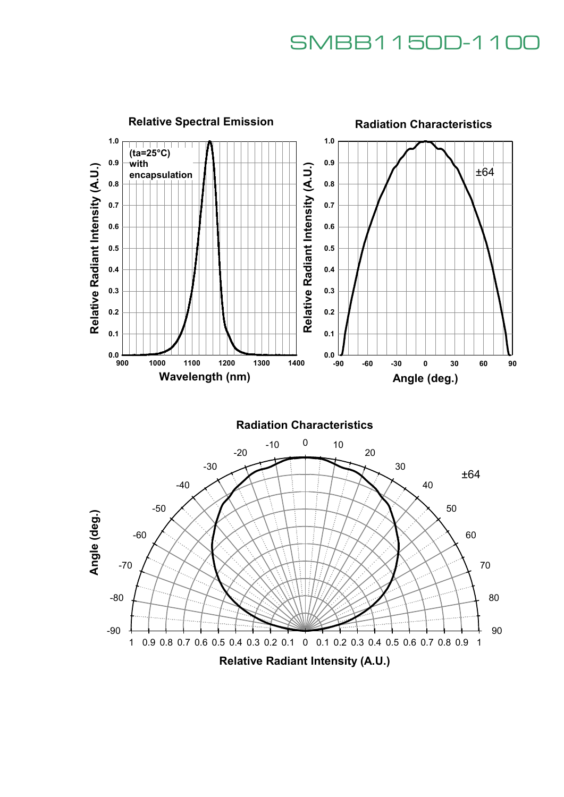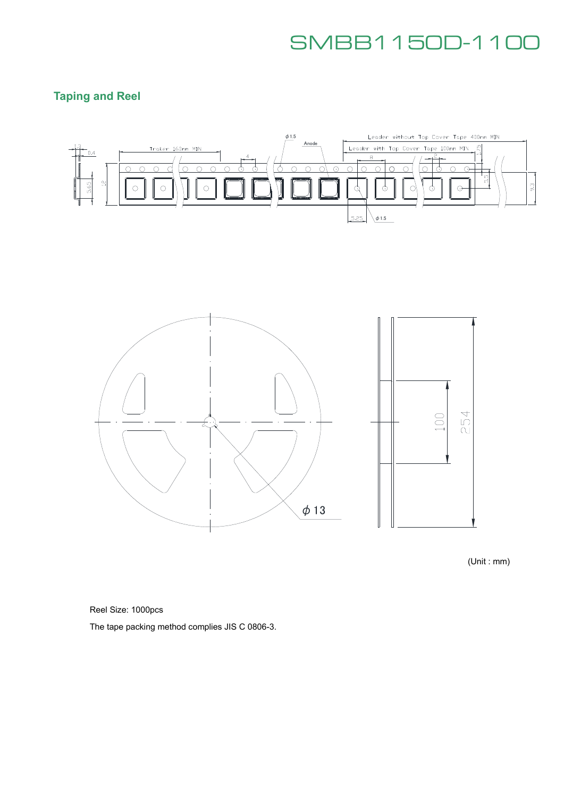## **Taping and Reel**





(Unit : mm)

Reel Size: 1000pcs

The tape packing method complies JIS C 0806-3.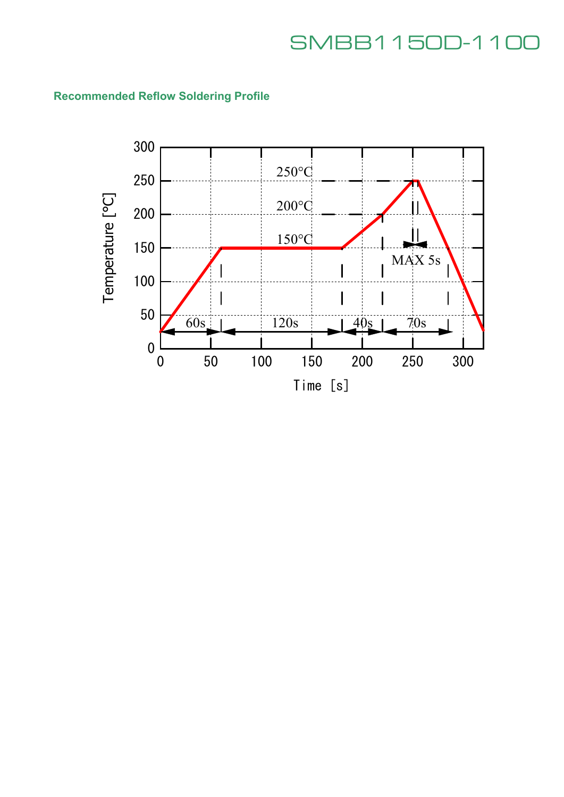

## **Recommended Reflow Soldering Profile**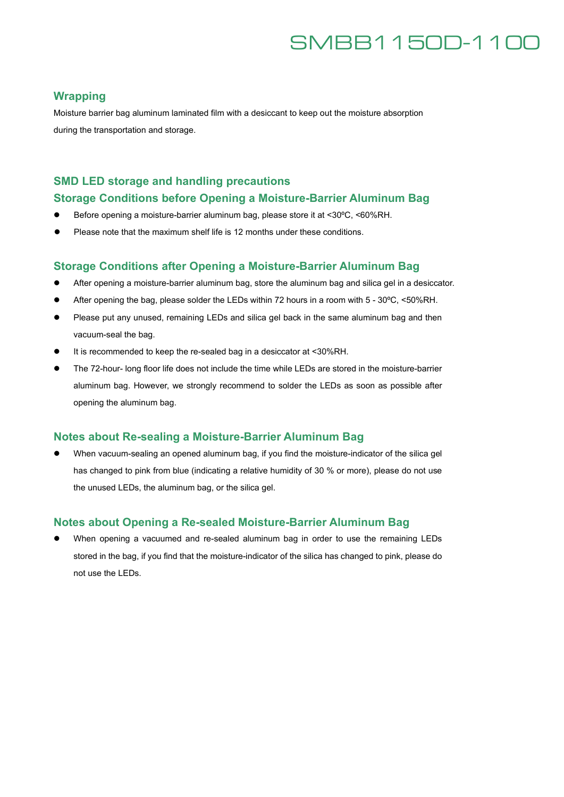### **Wrapping**

Moisture barrier bag aluminum laminated film with a desiccant to keep out the moisture absorption during the transportation and storage.

### **SMD LED storage and handling precautions**

### **Storage Conditions before Opening a Moisture-Barrier Aluminum Bag**

- Before opening a moisture-barrier aluminum bag, please store it at <30 °C, <60 % RH.
- Please note that the maximum shelf life is 12 months under these conditions.

### **Storage Conditions after Opening a Moisture-Barrier Aluminum Bag**

- After opening a moisture-barrier aluminum bag, store the aluminum bag and silica gel in a desiccator.
- After opening the bag, please solder the LEDs within 72 hours in a room with 5 30°C, <50%RH.
- Please put any unused, remaining LEDs and silica gel back in the same aluminum bag and then vacuum-seal the bag.
- It is recommended to keep the re-sealed bag in a desiccator at <30%RH.
- The 72-hour- long floor life does not include the time while LEDs are stored in the moisture-barrier aluminum bag. However, we strongly recommend to solder the LEDs as soon as possible after opening the aluminum bag.

### **Notes about Re-sealing a Moisture-Barrier Aluminum Bag**

 When vacuum-sealing an opened aluminum bag, if you find the moisture-indicator of the silica gel has changed to pink from blue (indicating a relative humidity of 30 % or more), please do not use the unused LEDs, the aluminum bag, or the silica gel.

### **Notes about Opening a Re-sealed Moisture-Barrier Aluminum Bag**

 When opening a vacuumed and re-sealed aluminum bag in order to use the remaining LEDs stored in the bag, if you find that the moisture-indicator of the silica has changed to pink, please do not use the LEDs.